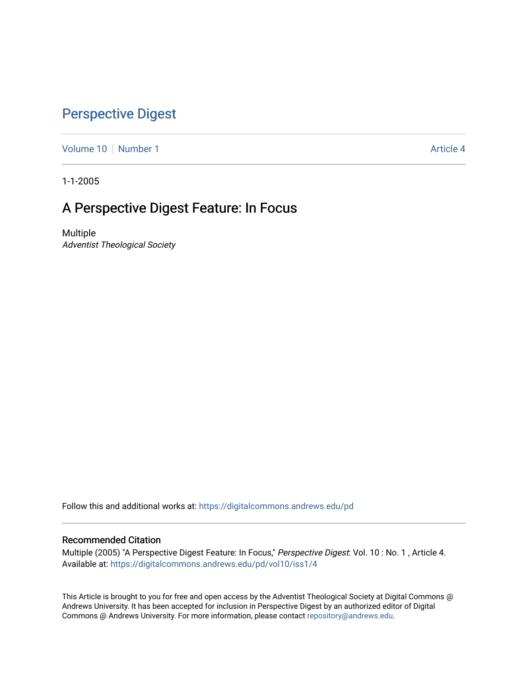## [Perspective Digest](https://digitalcommons.andrews.edu/pd)

[Volume 10](https://digitalcommons.andrews.edu/pd/vol10) [Number 1](https://digitalcommons.andrews.edu/pd/vol10/iss1) Article 4

1-1-2005

## A Perspective Digest Feature: In Focus

Multiple Adventist Theological Society

Follow this and additional works at: [https://digitalcommons.andrews.edu/pd](https://digitalcommons.andrews.edu/pd?utm_source=digitalcommons.andrews.edu%2Fpd%2Fvol10%2Fiss1%2F4&utm_medium=PDF&utm_campaign=PDFCoverPages)

### Recommended Citation

Multiple (2005) "A Perspective Digest Feature: In Focus," Perspective Digest: Vol. 10 : No. 1 , Article 4. Available at: [https://digitalcommons.andrews.edu/pd/vol10/iss1/4](https://digitalcommons.andrews.edu/pd/vol10/iss1/4?utm_source=digitalcommons.andrews.edu%2Fpd%2Fvol10%2Fiss1%2F4&utm_medium=PDF&utm_campaign=PDFCoverPages)

This Article is brought to you for free and open access by the Adventist Theological Society at Digital Commons @ Andrews University. It has been accepted for inclusion in Perspective Digest by an authorized editor of Digital Commons @ Andrews University. For more information, please contact [repository@andrews.edu.](mailto:repository@andrews.edu)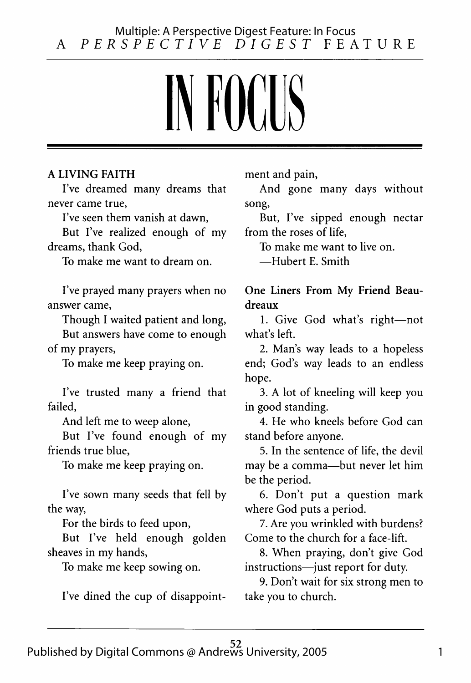# IN FOCUS

#### A LIVING FAITH

I've dreamed many dreams that never came true,

I've seen them vanish at dawn,

But I've realized enough of my dreams, thank God,

To make me want to dream on.

I've prayed many prayers when no answer came,

Though I waited patient and long,

But answers have come to enough of my prayers,

To make me keep praying on.

I've trusted many a friend that failed,

And left me to weep alone,

But I've found enough of my friends true blue,

To make me keep praying on.

I've sown many seeds that fell by the way,

For the birds to feed upon,

But I've held enough golden sheaves in my hands,

To make me keep sowing on.

I've dined the cup of disappoint-

ment and pain,

And gone many days without song,

But, I've sipped enough nectar from the roses of life,

To make me want to live on.

—Hubert E. Smith

One Liners From My Friend Beaudreaux

1. Give God what's right—not what's left.

2. Man's way leads to a hopeless end; God's way leads to an endless hope.

3. A lot of kneeling will keep you in good standing.

4. He who kneels before God can stand before anyone.

5. In the sentence of life, the devil may be a comma—but never let him be the period.

6. Don't put a question mark where God puts a period.

7. Are you wrinkled with burdens? Come to the church for a face-lift.

8. When praying, don't give God instructions—just report for duty.

9. Don't wait for six strong men to take you to church.